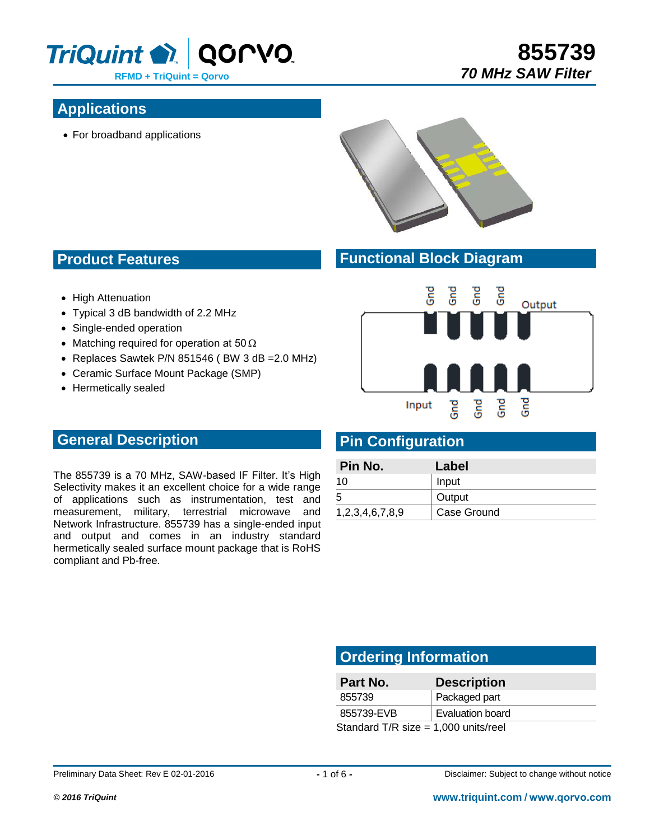

## **Applications**

For broadband applications



## **Functional Block Diagram**

- High Attenuation
- Typical 3 dB bandwidth of 2.2 MHz
- Single-ended operation

**Product Features**

- Matching required for operation at 50  $\Omega$
- Replaces Sawtek P/N 851546 (BW 3  $dB = 2.0$  MHz)
- Ceramic Surface Mount Package (SMP)
- Hermetically sealed



**855739**

 *70 MHz SAW Filter*

## **Pin Configuration**

| Pin No.         | Label       |
|-----------------|-------------|
| 10              | Input       |
| 5               | Output      |
| 1,2,3,4,6,7,8,9 | Case Ground |

## **General Description**

The 855739 is a 70 MHz, SAW-based IF Filter. It's High Selectivity makes it an excellent choice for a wide range of applications such as instrumentation, test and measurement, military, terrestrial microwave and Network Infrastructure. 855739 has a single-ended input and output and comes in an industry standard hermetically sealed surface mount package that is RoHS compliant and Pb-free.

## **Ordering Information**

| Part No.                               | <b>Description</b> |  |
|----------------------------------------|--------------------|--|
| 855739                                 | Packaged part      |  |
| 855739-EVB                             | Evaluation board   |  |
| Standard T/R size = $1,000$ units/reel |                    |  |

Preliminary Data Sheet: Rev E 02-01-2016 *-* 1 of 6 *-* Disclaimer: Subject to change without notice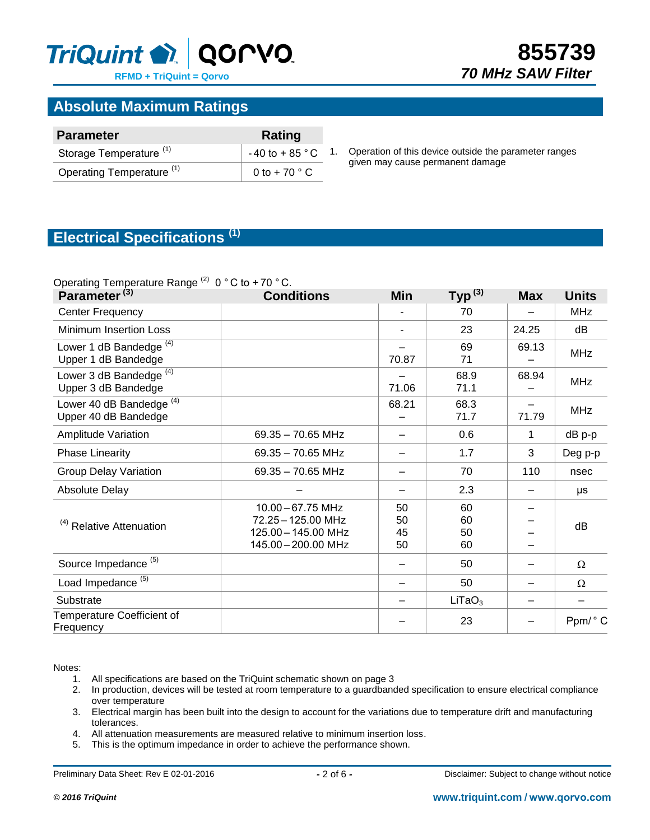

## **Absolute Maximum Ratings**

| <b>Parameter</b>                     | Rating                      |  |  |
|--------------------------------------|-----------------------------|--|--|
| Storage Temperature <sup>(1)</sup>   | $-40$ to $+85$ $^{\circ}$ C |  |  |
| Operating Temperature <sup>(1)</sup> | 0 to + 70 $\degree$ C       |  |  |

Operation of this device outside the parameter ranges given may cause permanent damage

## **Electrical Specifications (1)**

#### Operating Temperature Range  $^{(2)}$  0 ° C to + 70 ° C.

| .<br>Parameter <sup>(3)</sup>                               | <b>Conditions</b>                                                                     | <b>Min</b>           | Typ <sup>(3)</sup>   | <b>Max</b> | <b>Units</b> |
|-------------------------------------------------------------|---------------------------------------------------------------------------------------|----------------------|----------------------|------------|--------------|
| <b>Center Frequency</b>                                     |                                                                                       |                      | 70                   |            | <b>MHz</b>   |
| <b>Minimum Insertion Loss</b>                               |                                                                                       |                      | 23                   | 24.25      | dB           |
| Lower 1 dB Bandedge <sup>(4)</sup><br>Upper 1 dB Bandedge   |                                                                                       | 70.87                | 69<br>71             | 69.13      | <b>MHz</b>   |
| Lower 3 dB Bandedge <sup>(4)</sup><br>Upper 3 dB Bandedge   |                                                                                       | 71.06                | 68.9<br>71.1         | 68.94      | <b>MHz</b>   |
| Lower 40 dB Bandedge <sup>(4)</sup><br>Upper 40 dB Bandedge |                                                                                       | 68.21                | 68.3<br>71.7         | 71.79      | <b>MHz</b>   |
| Amplitude Variation                                         | $69.35 - 70.65$ MHz                                                                   |                      | 0.6                  | 1          | dB p-p       |
| <b>Phase Linearity</b>                                      | 69.35 - 70.65 MHz                                                                     |                      | 1.7                  | 3          | Deg p-p      |
| <b>Group Delay Variation</b>                                | $69.35 - 70.65$ MHz                                                                   |                      | 70                   | 110        | nsec         |
| Absolute Delay                                              |                                                                                       |                      | 2.3                  |            | μs           |
| <sup>(4)</sup> Relative Attenuation                         | 10.00 - 67.75 MHz<br>72.25 - 125.00 MHz<br>125.00 - 145.00 MHz<br>145.00 - 200.00 MHz | 50<br>50<br>45<br>50 | 60<br>60<br>50<br>60 |            | dB           |
| Source Impedance <sup>(5)</sup>                             |                                                                                       |                      | 50                   |            | $\Omega$     |
| Load Impedance <sup>(5)</sup>                               |                                                                                       |                      | 50                   |            | Ω            |
| Substrate                                                   |                                                                                       |                      | LiTaO <sub>3</sub>   |            |              |
| Temperature Coefficient of<br>Frequency                     |                                                                                       |                      | 23                   |            | Ppm/°C       |

Notes:

- 1. All specifications are based on the TriQuint schematic shown on page 3<br>2. In production, devices will be tested at room temperature to a quardband
- In production, devices will be tested at room temperature to a guardbanded specification to ensure electrical compliance over temperature
- 3. Electrical margin has been built into the design to account for the variations due to temperature drift and manufacturing tolerances.
- 4. All attenuation measurements are measured relative to minimum insertion loss.
- 5. This is the optimum impedance in order to achieve the performance shown.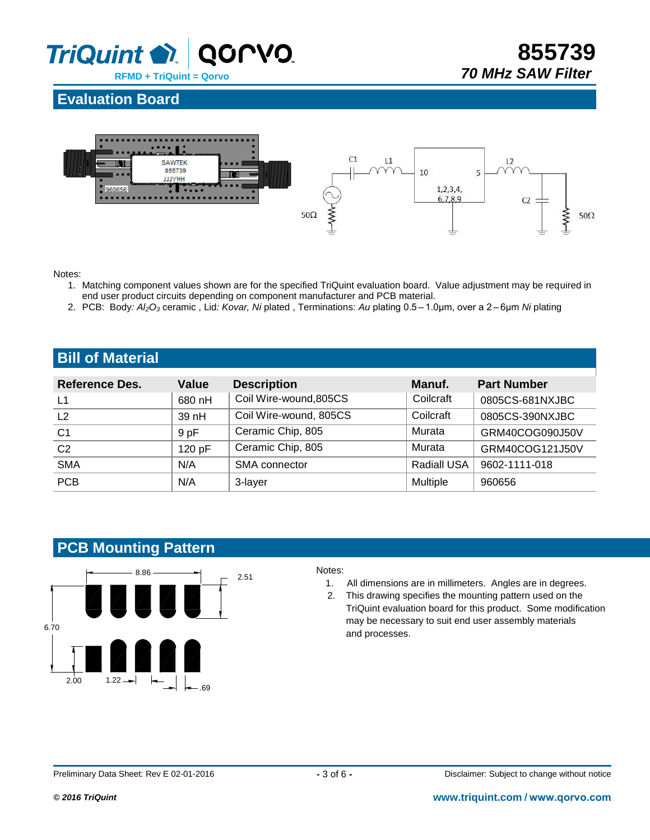

**855739**  *70 MHz SAW Filter*

## **Evaluation Board**



Notes:

- 1. Matching component values shown are for the specified TriQuint evaluation board. Value adjustment may be required in end user product circuits depending on component manufacturer and PCB material.
- 2. PCB: Body: Al<sub>2</sub>O<sub>3</sub> ceramic, Lid: Kovar, Ni plated, Terminations: Au plating 0.5 1.0um, over a 2 6um *Ni* plating

## **Bill of Material**

| Reference Des. | <b>Value</b> | <b>Description</b>     | Manuf.             | <b>Part Number</b> |
|----------------|--------------|------------------------|--------------------|--------------------|
| L1             | 680 nH       | Coil Wire-wound, 805CS | Coilcraft          | 0805CS-681NXJBC    |
| L <sub>2</sub> | 39 nH        | Coil Wire-wound, 805CS | Coilcraft          | 0805CS-390NXJBC    |
| C <sub>1</sub> | 9 pF         | Ceramic Chip, 805      | Murata             | GRM40COG090J50V    |
| C <sub>2</sub> | 120 pF       | Ceramic Chip, 805      | Murata             | GRM40COG121J50V    |
| <b>SMA</b>     | N/A          | SMA connector          | <b>Radiall USA</b> | 9602-1111-018      |
| <b>PCB</b>     | N/A          | 3-layer                | <b>Multiple</b>    | 960656             |

## **PCB Mounting Pattern**



- 1. All dimensions are in millimeters. Angles are in degrees.
- 2. This drawing specifies the mounting pattern used on the TriQuint evaluation board for this product. Some modification may be necessary to suit end user assembly materials and processes.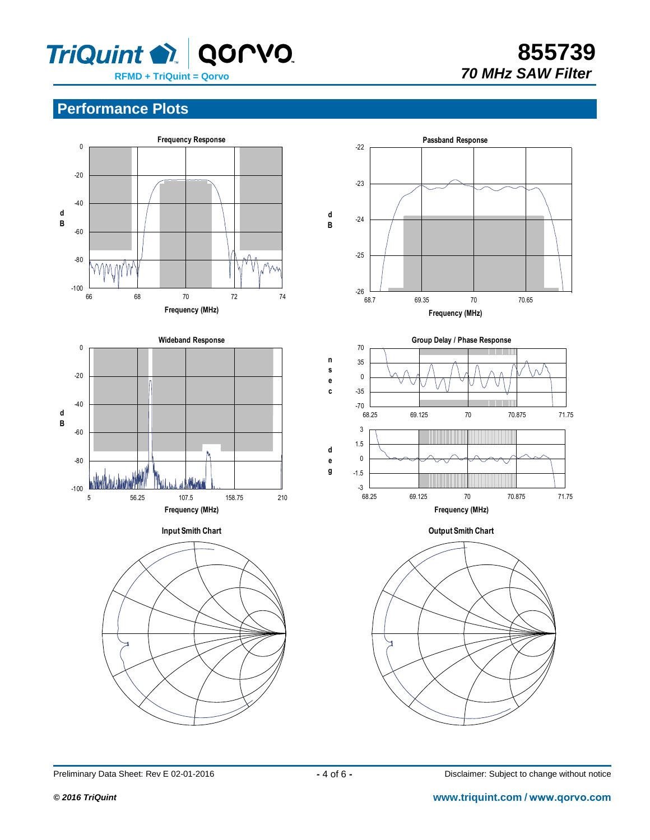

**855739**

## **Performance Plots**



Preliminary Data Sheet: Rev E 02-01-2016 *-4 of 6 -* Disclaimer: Subject to change without notice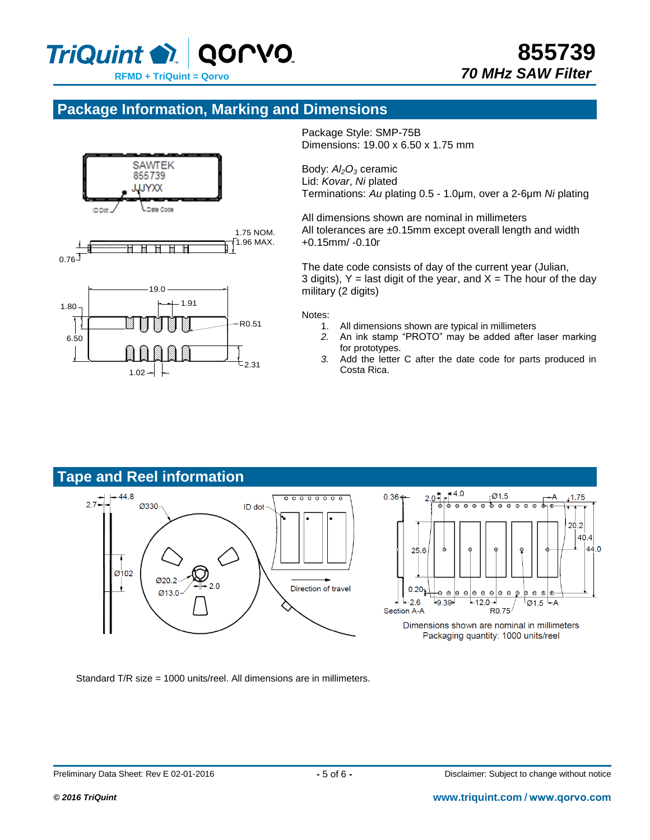

## **Package Information, Marking and Dimensions**



Package Style: SMP-75B Dimensions: 19.00 x 6.50 x 1.75 mm

Body: *Al2O<sup>3</sup>* ceramic Lid: *Kovar*, *Ni* plated Terminations: *Au* plating 0.5 - 1.0μm, over a 2-6μm *Ni* plating

All dimensions shown are nominal in millimeters All tolerances are  $±0.15$ mm except overall length and width  $+0.15$ mm/ $-0.10$ r

The date code consists of day of the current year (Julian, 3 digits),  $Y =$  last digit of the year, and  $X =$  The hour of the day military (2 digits)

#### Notes:

- 1. All dimensions shown are typical in millimeters
- *2.* An ink stamp "PROTO" may be added after laser marking for prototypes.
- *3.* Add the letter C after the date code for parts produced in Costa Rica.



Packaging quantity: 1000 units/reel

Standard T/R size = 1000 units/reel. All dimensions are in millimeters.

-A

 $\odot$ 

 $-1.75$ 

 $20.2$  $40.4$ 44.0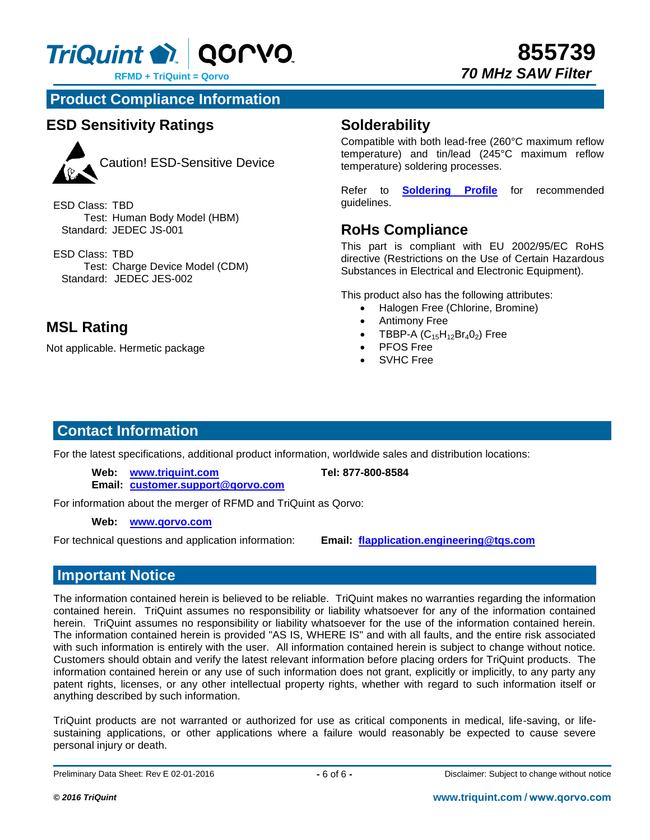

**855739**  *70 MHz SAW Filter*

**Product Compliance Information**

## **ESD Sensitivity Ratings**



Caution! ESD-Sensitive Device

ESD Class: TBD Test: Human Body Model (HBM) Standard: JEDEC JS-001

ESD Class: TBD Test: Charge Device Model (CDM) Standard: JEDEC JES-002

## **MSL Rating**

Not applicable. Hermetic package

## **Solderability**

Compatible with both lead-free (260°C maximum reflow temperature) and tin/lead (245°C maximum reflow temperature) soldering processes.

Refer to **[Soldering Profile](http://www.triquint.com/products/d/recommended-lead-free-reflow-profile)** for recommended guidelines.

## **RoHs Compliance**

This part is compliant with EU 2002/95/EC RoHS directive (Restrictions on the Use of Certain Hazardous Substances in Electrical and Electronic Equipment).

This product also has the following attributes:

- Halogen Free (Chlorine, Bromine)
- Antimony Free
- TBBP-A  $(C_{15}H_{12}Br_4O_2)$  Free
- PFOS Free
- SVHC Free

## **Contact Information**

For the latest specifications, additional product information, worldwide sales and distribution locations:

**Web: [www.triquint.com](http://www.triquint.com/) Tel: 877-800-8584**

**Email: [customer.support@qorvo.com](mailto:customer.support@qorvo.com)**

For information about the merger of RFMD and TriQuint as Qorvo:

#### **Web: [www.qorvo.com](http://www.qorvo.com/)**

For technical questions and application information: **Email: [flapplication.engineering@tqs.com](mailto:flapplication.engineering@tqs.com)**

## **Important Notice**

The information contained herein is believed to be reliable. TriQuint makes no warranties regarding the information contained herein. TriQuint assumes no responsibility or liability whatsoever for any of the information contained herein. TriQuint assumes no responsibility or liability whatsoever for the use of the information contained herein. The information contained herein is provided "AS IS, WHERE IS" and with all faults, and the entire risk associated with such information is entirely with the user. All information contained herein is subject to change without notice. Customers should obtain and verify the latest relevant information before placing orders for TriQuint products. The information contained herein or any use of such information does not grant, explicitly or implicitly, to any party any patent rights, licenses, or any other intellectual property rights, whether with regard to such information itself or anything described by such information.

TriQuint products are not warranted or authorized for use as critical components in medical, life-saving, or lifesustaining applications, or other applications where a failure would reasonably be expected to cause severe personal injury or death.